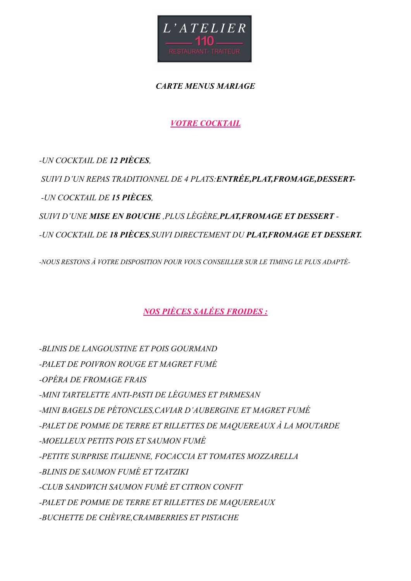

*CARTE MENUS MARIAGE* 

*VOTRE COCKTAIL* 

*-UN COCKTAIL DE 12 PIÈCES, SUIVI D'UN REPAS TRADITIONNEL DE 4 PLATS:ENTRÉE,PLAT,FROMAGE,DESSERT- -UN COCKTAIL DE 15 PIÈCES, SUIVI D'UNE MISE EN BOUCHE ,PLUS LÉGÈRE,PLAT,FROMAGE ET DESSERT - -UN COCKTAIL DE 18 PIÈCES,SUIVI DIRECTEMENT DU PLAT,FROMAGE ET DESSERT.* 

*-NOUS RESTONS À VOTRE DISPOSITION POUR VOUS CONSEILLER SUR LE TIMING LE PLUS ADAPTÉ-*

*NOS PIÈCES SALÉES FROIDES :* 

*-BLINIS DE LANGOUSTINE ET POIS GOURMAND -PALET DE POIVRON ROUGE ET MAGRET FUMÉ -OPÉRA DE FROMAGE FRAIS -MINI TARTELETTE ANTI-PASTI DE LÉGUMES ET PARMESAN -MINI BAGELS DE PÉTONCLES,CAVIAR D'AUBERGINE ET MAGRET FUMÉ -PALET DE POMME DE TERRE ET RILLETTES DE MAQUEREAUX À LA MOUTARDE -MOELLEUX PETITS POIS ET SAUMON FUMÉ -PETITE SURPRISE ITALIENNE, FOCACCIA ET TOMATES MOZZARELLA -BLINIS DE SAUMON FUMÉ ET TZATZIKI -CLUB SANDWICH SAUMON FUMÉ ET CITRON CONFIT -PALET DE POMME DE TERRE ET RILLETTES DE MAQUEREAUX -BUCHETTE DE CHÈVRE,CRAMBERRIES ET PISTACHE*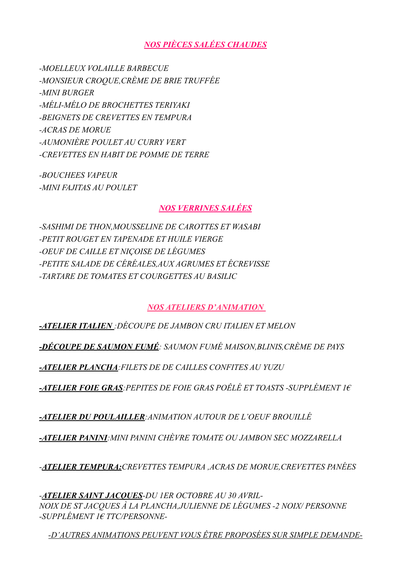# *NOS PIÈCES SALÉES CHAUDES*

*-MOELLEUX VOLAILLE BARBECUE -MONSIEUR CROQUE,CRÈME DE BRIE TRUFFÉE -MINI BURGER -MÉLI-MÉLO DE BROCHETTES TERIYAKI -BEIGNETS DE CREVETTES EN TEMPURA -ACRAS DE MORUE -AUMONIÈRE POULET AU CURRY VERT -CREVETTES EN HABIT DE POMME DE TERRE* 

*-BOUCHEES VAPEUR -MINI FAJITAS AU POULET* 

# *NOS VERRINES SALÉES*

*-SASHIMI DE THON,MOUSSELINE DE CAROTTES ET WASABI -PETIT ROUGET EN TAPENADE ET HUILE VIERGE -OEUF DE CAILLE ET NIÇOISE DE LÉGUMES -PETITE SALADE DE CÉRÉALES,AUX AGRUMES ET ÉCREVISSE -TARTARE DE TOMATES ET COURGETTES AU BASILIC* 

# *NOS ATELIERS D'ANIMATION*

*-ATELIER ITALIEN :DÉCOUPE DE JAMBON CRU ITALIEN ET MELON* 

*-DÉCOUPE DE SAUMON FUMÉ: SAUMON FUMÉ MAISON,BLINIS,CRÈME DE PAYS* 

*-ATELIER PLANCHA:FILETS DE DE CAILLES CONFITES AU YUZU* 

*-ATELIER FOIE GRAS:PEPITES DE FOIE GRAS POÊLÉ ET TOASTS -SUPPLÉMENT 1€*

*-ATELIER DU POULAILLER:ANIMATION AUTOUR DE L'OEUF BROUILLÉ* 

*-ATELIER PANINI:MINI PANINI CHÈVRE TOMATE OU JAMBON SEC MOZZARELLA* 

*-ATELIER TEMPURA:CREVETTES TEMPURA ,ACRAS DE MORUE,CREVETTES PANÉES* 

*-ATELIER SAINT JACQUES-DU 1ER OCTOBRE AU 30 AVRIL-NOIX DE ST JACQUES À LA PLANCHA,JULIENNE DE LÉGUMES -2 NOIX/ PERSONNE -SUPPLÉMENT 1€ TTC/PERSONNE-* 

*-D'AUTRES ANIMATIONS PEUVENT VOUS ÊTRE PROPOSÉES SUR SIMPLE DEMANDE-*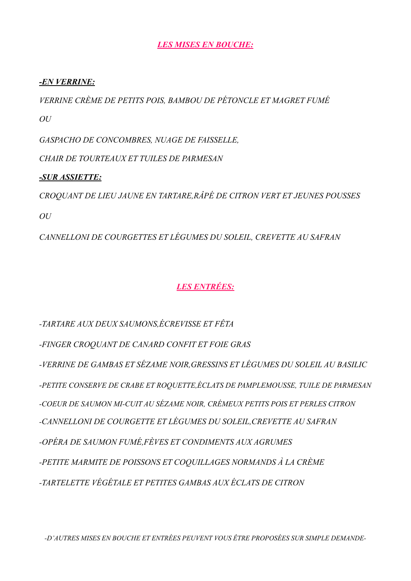## *LES MISES EN BOUCHE:*

#### *-EN VERRINE:*

*VERRINE CRÈME DE PETITS POIS, BAMBOU DE PÉTONCLE ET MAGRET FUMÉ OU* 

*GASPACHO DE CONCOMBRES, NUAGE DE FAISSELLE,* 

*CHAIR DE TOURTEAUX ET TUILES DE PARMESAN* 

### *-SUR ASSIETTE:*

*CROQUANT DE LIEU JAUNE EN TARTARE,RÂPÉ DE CITRON VERT ET JEUNES POUSSES OU* 

*CANNELLONI DE COURGETTES ET LÉGUMES DU SOLEIL, CREVETTE AU SAFRAN* 

# *LES ENTRÉES:*

*-TARTARE AUX DEUX SAUMONS,ÉCREVISSE ET FÊTA* 

*-FINGER CROQUANT DE CANARD CONFIT ET FOIE GRAS* 

*-VERRINE DE GAMBAS ET SÉZAME NOIR,GRESSINS ET LÉGUMES DU SOLEIL AU BASILIC -PETITE CONSERVE DE CRABE ET ROQUETTE,ÉCLATS DE PAMPLEMOUSSE, TUILE DE PARMESAN -COEUR DE SAUMON MI-CUIT AU SÉZAME NOIR, CRÉMEUX PETITS POIS ET PERLES CITRON -CANNELLONI DE COURGETTE ET LÉGUMES DU SOLEIL,CREVETTE AU SAFRAN -OPÉRA DE SAUMON FUMÉ,FÈVES ET CONDIMENTS AUX AGRUMES -PETITE MARMITE DE POISSONS ET COQUILLAGES NORMANDS À LA CRÈME -TARTELETTE VÉGÉTALE ET PETITES GAMBAS AUX ÉCLATS DE CITRON* 

*-D'AUTRES MISES EN BOUCHE ET ENTRÉES PEUVENT VOUS ÊTRE PROPOSÉES SUR SIMPLE DEMANDE-*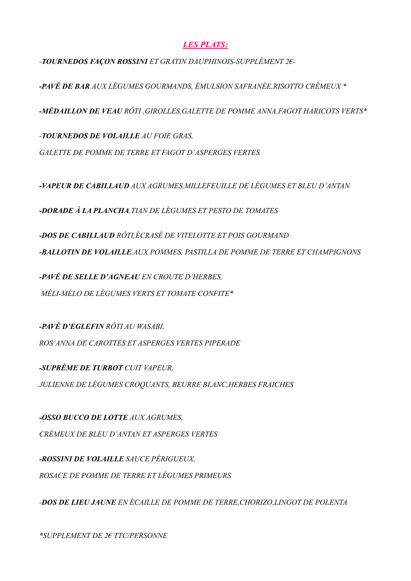## *LES PLATS:*

*-TOURNEDOS FAÇON ROSSINI ET GRATIN DAUPHINOIS-SUPPLÉMENT 2€-* 

*-PAVÉ DE BAR AUX LÉGUMES GOURMANDS, ÉMULSION SAFRANÉE,RISOTTO CRÉMEUX \** 

*-MÉDAILLON DE VEAU RÔTI ,GIROLLES,GALETTE DE POMME ANNA,FAGOT HARICOTS VERTS\** 

*-TOURNEDOS DE VOLAILLE AU FOIE GRAS, GALETTE DE POMME DE TERRE ET FAGOT D'ASPERGES VERTES* 

*-VAPEUR DE CABILLAUD AUX AGRUMES,MILLEFEUILLE DE LÉGUMES ET BLEU D'ANTAN* 

*-DORADE À LA PLANCHA,TIAN DE LÉGUMES ET PESTO DE TOMATES* 

*-DOS DE CABILLAUD RÔTI,ÉCRASÉ DE VITELOTTE ET POIS GOURMAND -BALLOTIN DE VOLAILLE AUX POMMES, PASTILLA DE POMME DE TERRE ET CHAMPIGNONS* 

*-PAVÉ DE SELLE D'AGNEAU EN CROUTE D'HERBES, MÉLI-MÉLO DE LÉGUMES VERTS ET TOMATE CONFITE\** 

*-PAVÉ D'EGLEFIN RÔTI AU WASABI, ROS'ANNA DE CAROTTES ET ASPERGES VERTES PIPERADE* 

*-SUPRÊME DE TURBOT CUIT VAPEUR, JULIENNE DE LÉGUMES CROQUANTS, BEURRE BLANC,HERBES FRAICHES* 

*-OSSO BUCCO DE LOTTE AUX AGRUMES, CRÉMEUX DE BLEU D'ANTAN ET ASPERGES VERTES* 

*-ROSSINI DE VOLAILLE SAUCE PÉRIGUEUX, ROSACE DE POMME DE TERRE ET LÉGUMES PRIMEURS* 

*-DOS DE LIEU JAUNE EN ÉCAILLE DE POMME DE TERRE,CHORIZO,LINGOT DE POLENTA* 

*\*SUPPLEMENT DE 2€ TTC/PERSONNE*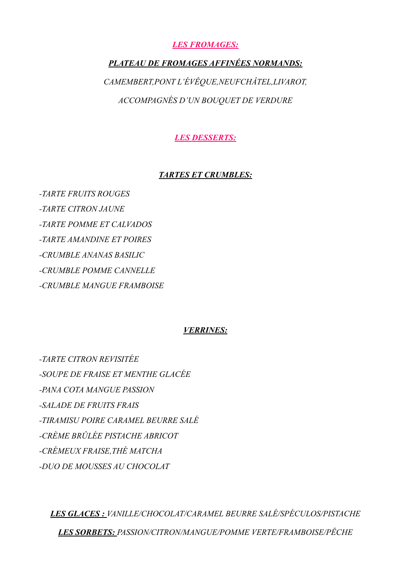## *LES FROMAGES:*

# *PLATEAU DE FROMAGES AFFINÉES NORMANDS: CAMEMBERT,PONT L'ÉVÊQUE,NEUFCHÂTEL,LIVAROT, ACCOMPAGNÉS D'UN BOUQUET DE VERDURE*

*LES DESSERTS:* 

### *TARTES ET CRUMBLES:*

*-TARTE FRUITS ROUGES -TARTE CITRON JAUNE -TARTE POMME ET CALVADOS -TARTE AMANDINE ET POIRES -CRUMBLE ANANAS BASILIC -CRUMBLE POMME CANNELLE -CRUMBLE MANGUE FRAMBOISE* 

#### *VERRINES:*

*-TARTE CITRON REVISITÉE -SOUPE DE FRAISE ET MENTHE GLACÉE -PANA COTA MANGUE PASSION -SALADE DE FRUITS FRAIS -TIRAMISU POIRE CARAMEL BEURRE SALÉ -CRÈME BRÛLÉE PISTACHE ABRICOT -CRÉMEUX FRAISE,THÉ MATCHA -DUO DE MOUSSES AU CHOCOLAT* 

*LES GLACES : VANILLE/CHOCOLAT/CARAMEL BEURRE SALÉ/SPÉCULOS/PISTACHE LES SORBETS: PASSION/CITRON/MANGUE/POMME VERTE/FRAMBOISE/PÊCHE*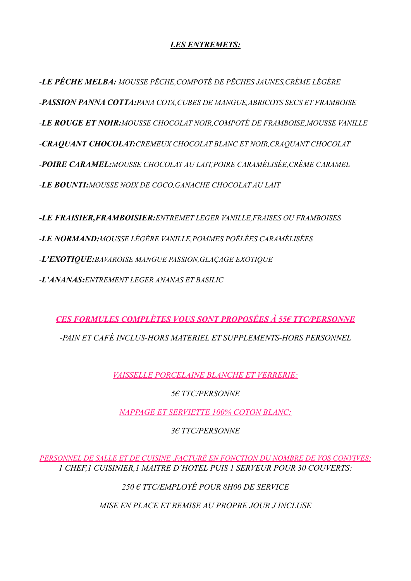# *LES ENTREMETS:*

*-LE PÊCHE MELBA: MOUSSE PÊCHE,COMPOTÉ DE PÊCHES JAUNES,CRÈME LÉGÈRE -PASSION PANNA COTTA:PANA COTA,CUBES DE MANGUE,ABRICOTS SECS ET FRAMBOISE -LE ROUGE ET NOIR:MOUSSE CHOCOLAT NOIR,COMPOTÉ DE FRAMBOISE,MOUSSE VANILLE -CRAQUANT CHOCOLAT:CREMEUX CHOCOLAT BLANC ET NOIR,CRAQUANT CHOCOLAT -POIRE CARAMEL:MOUSSE CHOCOLAT AU LAIT,POIRE CARAMÉLISÉE,CRÈME CARAMEL -LE BOUNTI:MOUSSE NOIX DE COCO,GANACHE CHOCOLAT AU LAIT*

*-LE FRAISIER,FRAMBOISIER:ENTREMET LEGER VANILLE,FRAISES OU FRAMBOISES -LE NORMAND:MOUSSE LÉGÈRE VANILLE,POMMES POÊLÉES CARAMÉLISÉES -L'EXOTIQUE:BAVAROISE MANGUE PASSION,GLAÇAGE EXOTIQUE -L'ANANAS:ENTREMENT LEGER ANANAS ET BASILIC* 

*CES FORMULES COMPLÈTES VOUS SONT PROPOSÉES À 55€ TTC/PERSONNE -PAIN ET CAFÉ INCLUS-HORS MATERIEL ET SUPPLEMENTS-HORS PERSONNEL* 

*VAISSELLE PORCELAINE BLANCHE ET VERRERIE:* 

*5€ TTC/PERSONNE* 

*NAPPAGE ET SERVIETTE 100% COTON BLANC:* 

*3€ TTC/PERSONNE* 

*PERSONNEL DE SALLE ET DE CUISINE ,FACTURÉ EN FONCTION DU NOMBRE DE VOS CONVIVES: 1 CHEF,1 CUISINIER,1 MAITRE D'HOTEL PUIS 1 SERVEUR POUR 30 COUVERTS:* 

*250 € TTC/EMPLOYÉ POUR 8H00 DE SERVICE* 

*MISE EN PLACE ET REMISE AU PROPRE JOUR J INCLUSE*